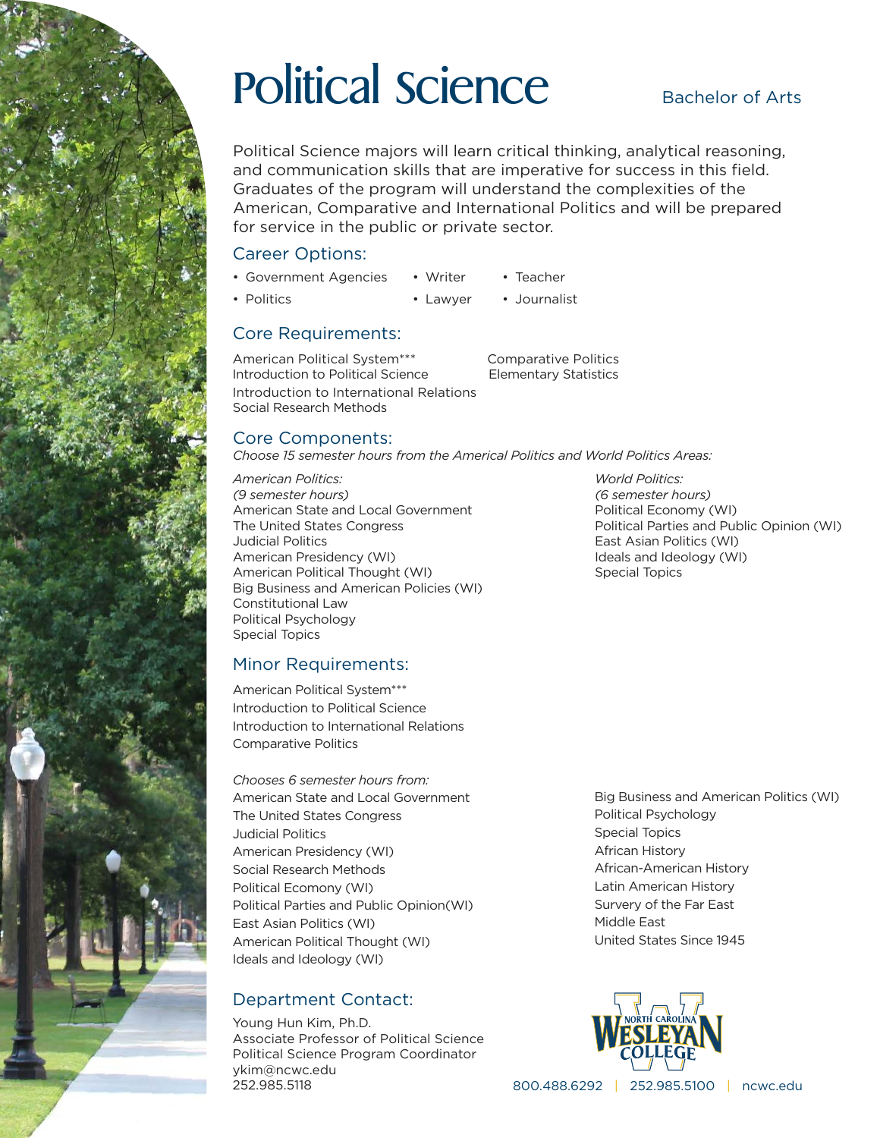

# Political Science

### Bachelor of Arts

Political Science majors will learn critical thinking, analytical reasoning, and communication skills that are imperative for success in this field. Graduates of the program will understand the complexities of the American, Comparative and International Politics and will be prepared for service in the public or private sector.

### Career Options:

- Government Agencies • Writer • Teacher
- Politics • Lawyer • Journalist

### Core Requirements:

American Political System\*\*\* Comparative Politics Introduction to Political Science Elementary Statistics Introduction to International Relations Social Research Methods

### Core Components:

*Choose 15 semester hours from the Americal Politics and World Politics Areas:* 

*American Politics: World Politics: (9 semester hours) (6 semester hours)* American State and Local Government **Political Economy (WI)** The United States Congress Political Parties and Public Opinion (WI) Judicial Politics East Asian Politics (WI) American Presidency (WI) **Internal and Ideals and Ideology (WI)** Ideals and Ideology (WI) American Political Thought (WI) Special Topics Big Business and American Policies (WI) Constitutional Law Political Psychology Special Topics

### Minor Requirements:

American Political System\*\*\* Introduction to Political Science Introduction to International Relations Comparative Politics

*Chooses 6 semester hours from:* American State and Local Government The United States Congress Judicial Politics American Presidency (WI) Social Research Methods Political Ecomony (WI) Political Parties and Public Opinion(WI) East Asian Politics (WI) American Political Thought (WI) Ideals and Ideology (WI)

### Department Contact:

Young Hun Kim, Ph.D. Associate Professor of Political Science Political Science Program Coordinator ykim@ncwc.edu 252.985.5118

Big Business and American Politics (WI) Political Psychology Special Topics African History African-American History Latin American History Survery of the Far East Middle East United States Since 1945



800.488.6292 | 252.985.5100 | ncwc.edu